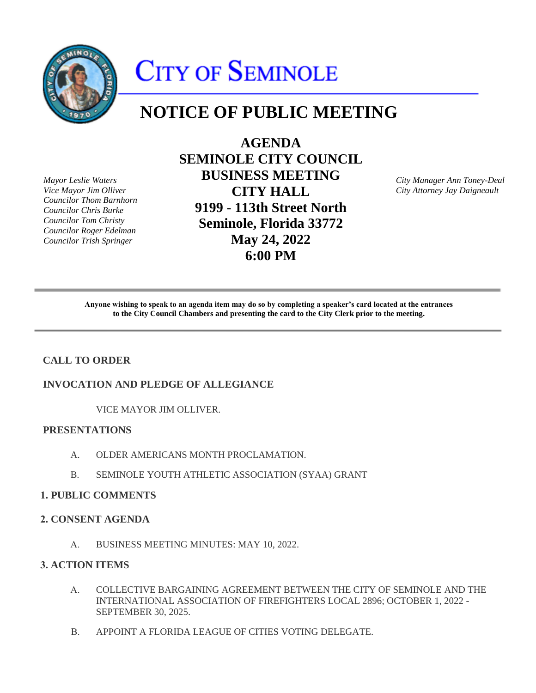

# CITY OF SEMINOLE

# **NOTICE OF PUBLIC MEETING**

*Mayor Leslie Waters Vice Mayor Jim Olliver Councilor Thom Barnhorn Councilor Chris Burke Councilor Tom Christy Councilor Roger Edelman Councilor Trish Springer* 

**AGENDA SEMINOLE CITY COUNCIL BUSINESS MEETING CITY HALL 9199 - 113th Street North Seminole, Florida 33772 May 24, 2022 6:00 PM** 

*City Manager Ann Toney-Deal City Attorney Jay Daigneault* 

Anyone wishing to speak to an agenda item may do so by completing a speaker's card located at the entrances **to the City Council Chambers and presenting the card to the City Clerk prior to the meeting.** 

# **CALL TO ORDER**

# **INVOCATION AND PLEDGE OF ALLEGIANCE**

VICE MAYOR JIM OLLIVER.

# **PRESENTATIONS**

- A. OLDER AMERICANS MONTH PROCLAMATION.
- B. SEMINOLE YOUTH ATHLETIC ASSOCIATION (SYAA) GRANT

# **1. PUBLIC COMMENTS**

# **2. CONSENT AGENDA**

A. BUSINESS MEETING MINUTES: MAY 10, 2022.

# **3. ACTION ITEMS**

- A. COLLECTIVE BARGAINING AGREEMENT BETWEEN THE CITY OF SEMINOLE AND THE INTERNATIONAL ASSOCIATION OF FIREFIGHTERS LOCAL 2896; OCTOBER 1, 2022 - SEPTEMBER 30, 2025.
- B. APPOINT A FLORIDA LEAGUE OF CITIES VOTING DELEGATE.